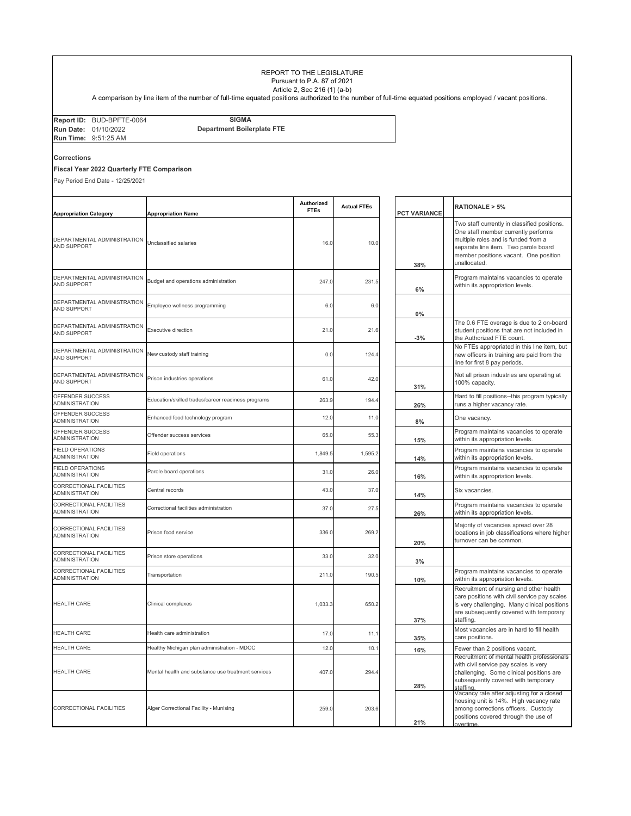## REPORT TO THE LEGISLATURE Pursuant to P.A. 87 of 2021 Article 2, Sec 216 (1) (a-b)

A comparison by line item of the number of full-time equated positions authorized to the number of full-time equated positions employed / vacant positions.

| <b>Department Boilerplate FTE</b><br><b>Run Date: 01/10/2022</b><br><b>Run Time: 9:51:25 AM</b> | Report ID: BUD-BPFTE-0064 | <b>SIGMA</b> |
|-------------------------------------------------------------------------------------------------|---------------------------|--------------|
|                                                                                                 |                           |              |
|                                                                                                 |                           |              |

## **Corrections**

## **Fiscal Year 2022 Quarterly FTE Comparison**

Pay Period End Date - 12/25/2021

|                                                   |                                                    | Authorized  | <b>Actual FTEs</b> |                     | <b>RATIONALE &gt; 5%</b>                                                                                                                                                                                                    |
|---------------------------------------------------|----------------------------------------------------|-------------|--------------------|---------------------|-----------------------------------------------------------------------------------------------------------------------------------------------------------------------------------------------------------------------------|
| <b>Appropriation Category</b>                     | <b>Appropriation Name</b>                          | <b>FTEs</b> |                    | <b>PCT VARIANCE</b> |                                                                                                                                                                                                                             |
| DEPARTMENTAL ADMINISTRATION<br><b>AND SUPPORT</b> | Unclassified salaries                              | 16.0        | 10.0               | 38%                 | Two staff currently in classified positions.<br>One staff member currently performs<br>multiple roles and is funded from a<br>separate line item. Two parole board<br>member positions vacant. One position<br>unallocated. |
| DEPARTMENTAL ADMINISTRATION<br>AND SUPPORT        | Budget and operations administration               | 247.0       | 231.5              | 6%                  | Program maintains vacancies to operate<br>within its appropriation levels.                                                                                                                                                  |
| DEPARTMENTAL ADMINISTRATION<br>AND SUPPORT        | Employee wellness programming                      | 6.0         | 6.0                | $0\%$               |                                                                                                                                                                                                                             |
| DEPARTMENTAL ADMINISTRATION<br><b>AND SUPPORT</b> | <b>Executive direction</b>                         | 21.0        | 21.6               | $-3%$               | The 0.6 FTE overage is due to 2 on-board<br>student positions that are not included in<br>the Authorized FTE count.                                                                                                         |
| DEPARTMENTAL ADMINISTRATION<br><b>AND SUPPORT</b> | New custody staff training                         | 0.0         | 124.4              |                     | No FTEs appropriated in this line item, but<br>new officers in training are paid from the<br>line for first 8 pay periods.                                                                                                  |
| DEPARTMENTAL ADMINISTRATION<br>AND SUPPORT        | Prison industries operations                       | 61.0        | 42.0               | 31%                 | Not all prison industries are operating at<br>100% capacity.                                                                                                                                                                |
| OFFENDER SUCCESS<br>ADMINISTRATION                | Education/skilled trades/career readiness programs | 263.9       | 194.4              | 26%                 | Hard to fill positions--this program typically<br>runs a higher vacancy rate.                                                                                                                                               |
| OFFENDER SUCCESS<br>ADMINISTRATION                | Enhanced food technology program                   | 12.0        | 11.0               | 8%                  | One vacancy.                                                                                                                                                                                                                |
| OFFENDER SUCCESS<br>ADMINISTRATION                | Offender success services                          | 65.0        | 55.3               | 15%                 | Program maintains vacancies to operate<br>within its appropriation levels                                                                                                                                                   |
| <b>FIELD OPERATIONS</b><br><b>ADMINISTRATION</b>  | Field operations                                   | 1,849.5     | 1,595.2            | 14%                 | Program maintains vacancies to operate<br>within its appropriation levels.                                                                                                                                                  |
| <b>FIELD OPERATIONS</b><br>ADMINISTRATION         | Parole board operations                            | 31.0        | 26.0               | 16%                 | Program maintains vacancies to operate<br>within its appropriation levels                                                                                                                                                   |
| CORRECTIONAL FACILITIES<br>ADMINISTRATION         | Central records                                    | 43.0        | 37.0               | 14%                 | Six vacancies.                                                                                                                                                                                                              |
| CORRECTIONAL FACILITIES<br><b>ADMINISTRATION</b>  | Correctional facilities administration             | 37.0        | 27.5               | 26%                 | Program maintains vacancies to operate<br>within its appropriation levels.                                                                                                                                                  |
| CORRECTIONAL FACILITIES<br>ADMINISTRATION         | Prison food service                                | 336.0       | 269.2              | 20%                 | Majority of vacancies spread over 28<br>locations in job classifications where higher<br>turnover can be common.                                                                                                            |
| CORRECTIONAL FACILITIES<br><b>ADMINISTRATION</b>  | Prison store operations                            | 33.0        | 32.0               | 3%                  |                                                                                                                                                                                                                             |
| CORRECTIONAL FACILITIES<br>ADMINISTRATION         | Transportation                                     | 211.0       | 190.5              | 10%                 | Program maintains vacancies to operate<br>within its appropriation levels.                                                                                                                                                  |
| <b>HEALTH CARE</b>                                | Clinical complexes                                 | 1,033.3     | 650.2              | 37%                 | Recruitment of nursing and other health<br>care positions with civil service pay scales<br>is very challenging. Many clinical positions<br>are subsequently covered with temporary<br>staffing.                             |
| <b>HEALTH CARE</b>                                | Health care administration                         | 17.0        | 11.1               | 35%                 | Most vacancies are in hard to fill health<br>care positions.                                                                                                                                                                |
| <b>HEALTH CARE</b>                                | Healthy Michigan plan administration - MDOC        | 12.0        | 10.1               | 16%                 | Fewer than 2 positions vacant.                                                                                                                                                                                              |
| <b>HEALTH CARE</b>                                | Mental health and substance use treatment services | 407.0       | 294.4              | 28%                 | Recruitment of mental health professionals<br>with civil service pay scales is very<br>challenging. Some clinical positions are<br>subsequently covered with temporary                                                      |
| CORRECTIONAL FACILITIES                           | Alger Correctional Facility - Munising             | 259.0       | 203.6              | 21%                 | Vacancy rate after adjusting for a closed<br>housing unit is 14%. High vacancy rate<br>among corrections officers. Custody<br>positions covered through the use of<br>overtime.                                             |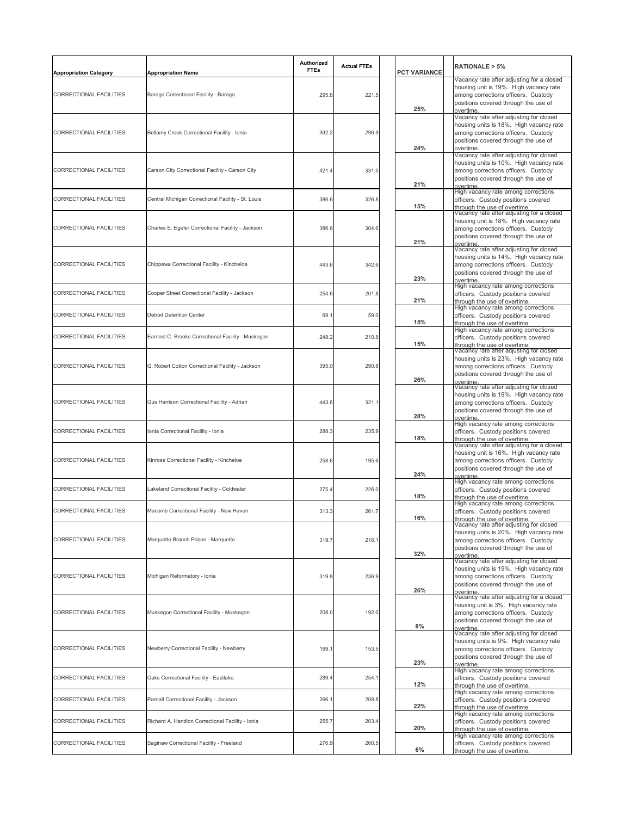| <b>Appropriation Category</b> | <b>Appropriation Name</b>                          | Authorized<br><b>FTEs</b> | <b>Actual FTEs</b> | <b>PCT VARIANCE</b> | <b>RATIONALE &gt; 5%</b>                                                                                                                                                                                     |
|-------------------------------|----------------------------------------------------|---------------------------|--------------------|---------------------|--------------------------------------------------------------------------------------------------------------------------------------------------------------------------------------------------------------|
| CORRECTIONAL FACILITIES       | Baraga Correctional Facility - Baraga              | 295.8                     | 221.5              | 25%                 | Vacancy rate after adjusting for a closed<br>housing unit is 19%. High vacancy rate<br>among corrections officers. Custody<br>positions covered through the use of                                           |
| CORRECTIONAL FACILITIES       | Bellamy Creek Correctional Facility - Ionia        | 392.2                     | 296.9              | 24%                 | overtime<br>Vacancy rate after adjusting for closed<br>housing units is 18%. High vacancy rate<br>among corrections officers. Custody<br>positions covered through the use of<br>overtime.                   |
| CORRECTIONAL FACILITIES       | Carson City Correctional Facility - Carson City    | 421.4                     | 331.5              | 21%                 | Vacancy rate after adjusting for closed<br>housing units is 10%. High vacancy rate<br>among corrections officers. Custody<br>positions covered through the use of<br>overtime                                |
| CORRECTIONAL FACILITIES       | Central Michigan Correctional Facility - St. Louis | 386.6                     | 326.8              | 15%                 | High vacancy rate among corrections<br>officers. Custody positions covered<br>through the use of overtime.                                                                                                   |
| CORRECTIONAL FACILITIES       | Charles E. Egeler Correctional Facility - Jackson  | 386.6                     | 304.6              | 21%                 | Vacancy rate after adjusting for a closed<br>housing unit is 18%.  High vacancy rate<br>among corrections officers. Custody<br>positions covered through the use of<br>ov <u>ertime</u>                      |
| CORRECTIONAL FACILITIES       | Chippewa Correctional Facility - Kincheloe         | 443.6                     | 342.6              | 23%                 | Vacancy rate after adjusting for closed<br>housing units is 14%. High vacancy rate<br>among corrections officers. Custody<br>positions covered through the use of<br>overtime                                |
| CORRECTIONAL FACILITIES       | Cooper Street Correctional Facility - Jackson      | 254.6                     | 201.8              | 21%                 | High vacancy rate among corrections<br>officers. Custody positions covered<br>through the use of overtime.                                                                                                   |
| CORRECTIONAL FACILITIES       | <b>Detroit Detention Center</b>                    | 69.1                      | 59.0               | 15%                 | High vacancy rate among corrections<br>officers. Custody positions covered<br>hrough the use of overtime.                                                                                                    |
| CORRECTIONAL FACILITIES       | Earnest C. Brooks Correctional Facility - Muskegon | 248.2                     | 210.8              | 15%                 | High vacancy rate among corrections<br>officers. Custody positions covered<br>hrough the use of overtime.                                                                                                    |
| CORRECTIONAL FACILITIES       | G. Robert Cotton Correctional Facility - Jackson   | 395.0                     | 290.8              | 26%                 | Vacancy rate after adjusting for closed<br>housing units is 23%. High vacancy rate<br>among corrections officers. Custody<br>positions covered through the use of<br>overtime                                |
| CORRECTIONAL FACILITIES       | Gus Harrison Correctional Facility - Adrian        | 443.6                     | 321.1              | 28%                 | Vacancy rate after adjusting for closed<br>housing units is 19%. High vacancy rate<br>among corrections officers. Custody<br>positions covered through the use of                                            |
| CORRECTIONAL FACILITIES       | Ionia Correctional Facility - Ionia                | 288.3                     | 235.9              | 18%                 | overtime<br>High vacancy rate among corrections<br>officers. Custody positions covered                                                                                                                       |
| CORRECTIONAL FACILITIES       | Kinross Correctional Facility - Kincheloe          | 258.6                     | 195.6              | 24%                 | hrough the use of overtime<br>Vacancy rate after adjusting for a closed<br>housing unit is 16%. High vacancy rate<br>among corrections officers. Custody<br>positions covered through the use of<br>overtime |
| CORRECTIONAL FACILITIES       | Lakeland Correctional Facility - Coldwater         | 275.4                     | 226.0              | 18%                 | High vacancy rate among corrections<br>officers. Custody positions covered<br>through the use of overtime                                                                                                    |
| CORRECTIONAL FACILITIES       | Macomb Correctional Facility - New Haven           | 313.3                     | 261.7              | 16%                 | High vacancy rate among corrections<br>officers. Custody positions covered<br>through the use of overtime.                                                                                                   |
| CORRECTIONAL FACILITIES       | Marquette Branch Prison - Marquette                | 319.7                     | 216.1              | 32%                 | Vacancy rate after adjusting for closed<br>housing units is 20%. High vacancy rate<br>among corrections officers. Custody<br>positions covered through the use of<br>overtime.                               |
| CORRECTIONAL FACILITIES       | Michigan Reformatory - Ionia                       | 319.8                     | 236.9              | 26%                 | Vacancy rate after adjusting for closed<br>housing units is 19%. High vacancy rate<br>among corrections officers. Custody<br>positions covered through the use of<br>overtime.                               |
| CORRECTIONAL FACILITIES       | Muskegon Correctional Facility - Muskegon          | 208.0                     | 192.0              | 8%                  | Vacancy rate after adjusting for a closed<br>housing unit is 3%. High vacancy rate<br>among corrections officers. Custody<br>positions covered through the use of<br>overtime.                               |
| CORRECTIONAL FACILITIES       | Newberry Correctional Facility - Newberry          | 199.1                     | 153.5              | 23%                 | Vacancy rate after adjusting for closed<br>housing units is 9%. High vacancy rate<br>among corrections officers. Custody<br>positions covered through the use of<br>overtime                                 |
| CORRECTIONAL FACILITIES       | Oaks Correctional Facility - Eastlake              | 289.4                     | 254.1              | 12%                 | High vacancy rate among corrections<br>officers. Custody positions covered<br>through the use of overtime.                                                                                                   |
| CORRECTIONAL FACILITIES       | Parnall Correctional Facility - Jackson            | 266.1                     | 208.8              | 22%                 | High vacancy rate among corrections<br>officers. Custody positions covered<br>through the use of overtime.                                                                                                   |
| CORRECTIONAL FACILITIES       | Richard A. Handlon Correctional Facility - Ionia   | 255.7                     | 203.4              | 20%                 | High vacancy rate among corrections<br>officers. Custody positions covered<br>through the use of overtime.                                                                                                   |
| CORRECTIONAL FACILITIES       | Saginaw Correctional Facility - Freeland           | 276.9                     | 260.5              | 6%                  | High vacancy rate among corrections<br>officers. Custody positions covered<br>through the use of overtime.                                                                                                   |
|                               |                                                    |                           |                    |                     |                                                                                                                                                                                                              |